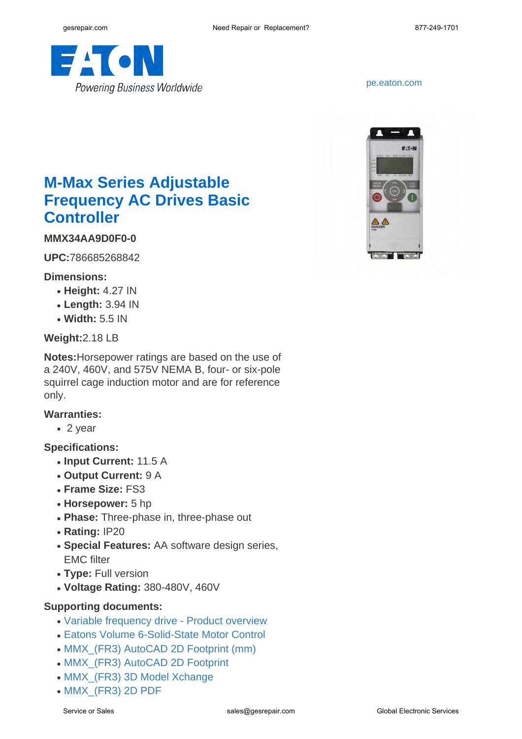

<pe.eaton.com>



# **M-Max Series Adjustable Frequency AC Drives Basic Controller**

## **MMX34AA9D0F0-0**

**UPC:**786685268842

#### **Dimensions:**

- **Height:** 4.27 IN
- **Length:** 3.94 IN
- **Width:** 5.5 IN

#### **Weight:**2.18 LB

**Notes:**Horsepower ratings are based on the use of a 240V, 460V, and 575V NEMA B, four- or six-pole squirrel cage induction motor and are for reference only.

#### **Warranties:**

 $\cdot$  2 year

#### **Specifications:**

- **Input Current:** 11.5 A
- **Output Current:** 9 A
- **Frame Size:** FS3
- **Horsepower:** 5 hp
- Phase: Three-phase in, three-phase out
- **Rating:** IP20
- **Special Features:** AA software design series, EMC filter
- **Type:** Full version
- **Voltage Rating:** 380-480V, 460V

### **Supporting documents:**

- [Variable frequency drive Product overview](http://www.eaton.com/ecm/idcplg?IdcService=GET_FILE&allowInterrupt=1&RevisionSelectionMethod=LatestReleased&noSaveAs=0&Rendition=Primary&dDocName=BR040002EN)
- [Eatons Volume 6-Solid-State Motor Control](http://www.eaton.com/ecm/idcplg?IdcService=GET_FILE&allowInterrupt=1&RevisionSelectionMethod=LatestReleased&Rendition=Primary&dDocName=CA08100007E)
- MMX (FR3) AutoCAD 2D Footprint (mm)
- [MMX\\_\(FR3\) AutoCAD 2D Footprint](http://www.eaton.com/ecm/idcplg?IdcService=GET_FILE&allowInterrupt=1&RevisionSelectionMethod=LatestReleased&noSaveAs=0&Rendition=Primary&dDocName=MMX_(FR3).dwg_37688)
- MMX (FR3) 3D Model Xchange
- MMX (FR3) 2D PDF